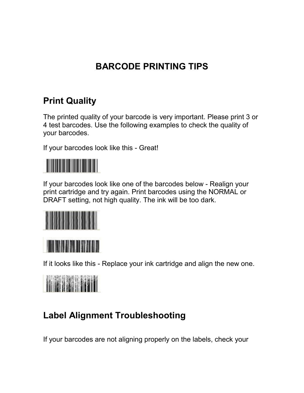## **BARCODE PRINTING TIPS**

## **Print Quality**

The printed quality of your barcode is very important. Please print 3 or 4 test barcodes. Use the following examples to check the quality of your barcodes.

If your barcodes look like this - Great!



If your barcodes look like one of the barcodes below - Realign your print cartridge and try again. Print barcodes using the NORMAL or DRAFT setting, not high quality. The ink will be too dark.





If it looks like this - Replace your ink cartridge and align the new one.



## **Label Alignment Troubleshooting**

If your barcodes are not aligning properly on the labels, check your